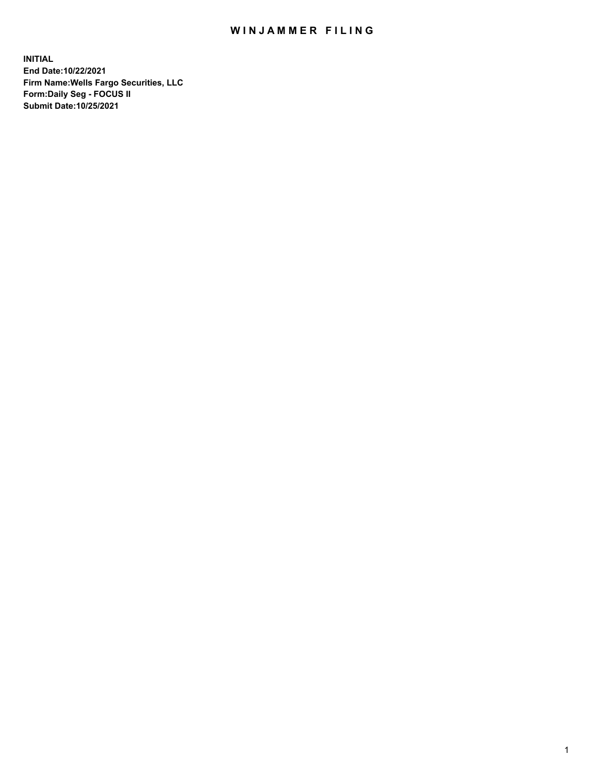## WIN JAMMER FILING

**INITIAL End Date:10/22/2021 Firm Name:Wells Fargo Securities, LLC Form:Daily Seg - FOCUS II Submit Date:10/25/2021**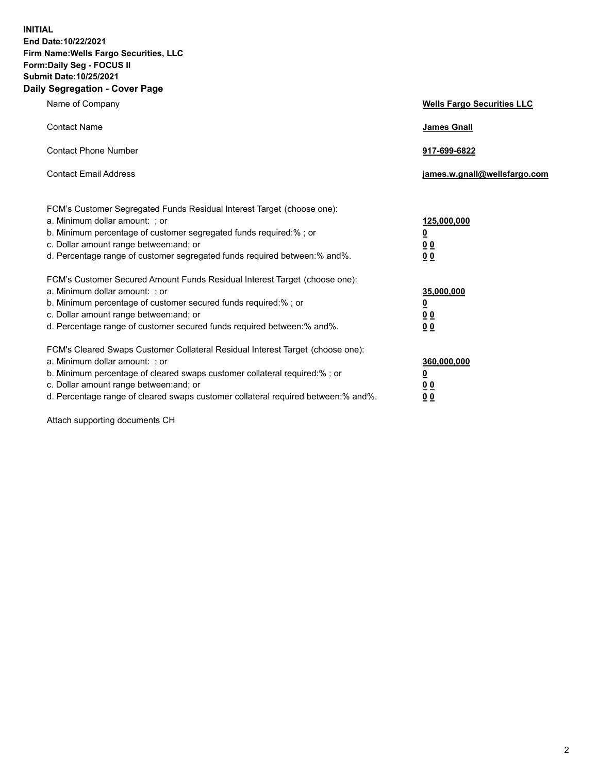**INITIAL End Date:10/22/2021 Firm Name:Wells Fargo Securities, LLC Form:Daily Seg - FOCUS II Submit Date:10/25/2021 Daily Segregation - Cover Page**

| Name of Company                                                                                                                                                                                                                                                                                                               | <b>Wells Fargo Securities LLC</b>                          |
|-------------------------------------------------------------------------------------------------------------------------------------------------------------------------------------------------------------------------------------------------------------------------------------------------------------------------------|------------------------------------------------------------|
| <b>Contact Name</b>                                                                                                                                                                                                                                                                                                           | <b>James Gnall</b>                                         |
| <b>Contact Phone Number</b>                                                                                                                                                                                                                                                                                                   | 917-699-6822                                               |
| <b>Contact Email Address</b>                                                                                                                                                                                                                                                                                                  | james.w.gnall@wellsfargo.com                               |
| FCM's Customer Segregated Funds Residual Interest Target (choose one):<br>a. Minimum dollar amount: ; or<br>b. Minimum percentage of customer segregated funds required:% ; or<br>c. Dollar amount range between: and; or<br>d. Percentage range of customer segregated funds required between:% and%.                        | 125,000,000<br><u>0</u><br>0 <sub>0</sub><br>00            |
| FCM's Customer Secured Amount Funds Residual Interest Target (choose one):<br>a. Minimum dollar amount: ; or<br>b. Minimum percentage of customer secured funds required:%; or<br>c. Dollar amount range between: and; or<br>d. Percentage range of customer secured funds required between:% and%.                           | 35,000,000<br><u>0</u><br>0 <sub>0</sub><br>0 <sub>0</sub> |
| FCM's Cleared Swaps Customer Collateral Residual Interest Target (choose one):<br>a. Minimum dollar amount: ; or<br>b. Minimum percentage of cleared swaps customer collateral required:%; or<br>c. Dollar amount range between: and; or<br>d. Percentage range of cleared swaps customer collateral required between:% and%. | 360,000,000<br><u>0</u><br>0 Q<br>00                       |

Attach supporting documents CH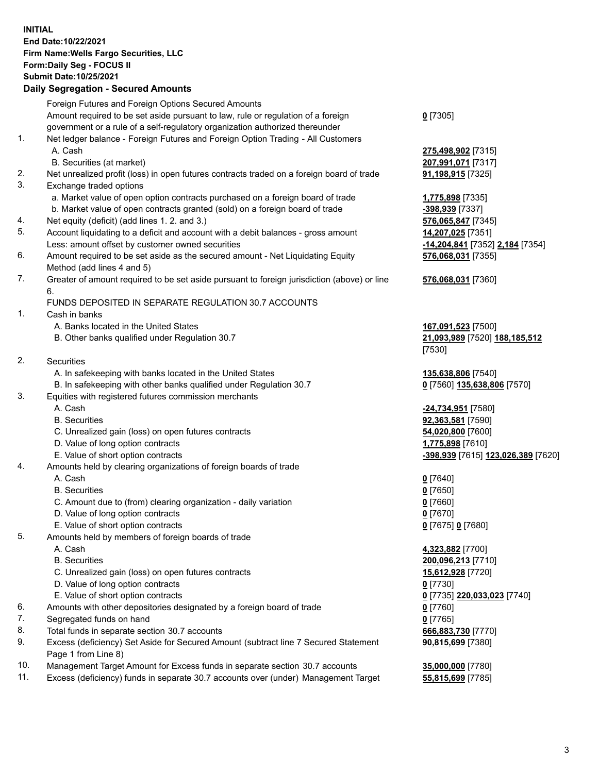**INITIAL End Date:10/22/2021 Firm Name:Wells Fargo Securities, LLC Form:Daily Seg - FOCUS II Submit Date:10/25/2021**

## **Daily Segregation - Secured Amounts**

|     | Foreign Futures and Foreign Options Secured Amounts                                         |                                    |
|-----|---------------------------------------------------------------------------------------------|------------------------------------|
|     | Amount required to be set aside pursuant to law, rule or regulation of a foreign            | $0$ [7305]                         |
|     | government or a rule of a self-regulatory organization authorized thereunder                |                                    |
| 1.  | Net ledger balance - Foreign Futures and Foreign Option Trading - All Customers             |                                    |
|     | A. Cash                                                                                     | 275,498,902 [7315]                 |
|     | B. Securities (at market)                                                                   | 207,991,071 [7317]                 |
| 2.  | Net unrealized profit (loss) in open futures contracts traded on a foreign board of trade   | 91,198,915 [7325]                  |
| 3.  | Exchange traded options                                                                     |                                    |
|     | a. Market value of open option contracts purchased on a foreign board of trade              | 1,775,898 [7335]                   |
|     | b. Market value of open contracts granted (sold) on a foreign board of trade                | -398,939 [7337]                    |
| 4.  | Net equity (deficit) (add lines 1. 2. and 3.)                                               | 576,065,847 [7345]                 |
| 5.  | Account liquidating to a deficit and account with a debit balances - gross amount           | 14,207,025 [7351]                  |
|     | Less: amount offset by customer owned securities                                            | -14,204,841 [7352] 2,184 [7354]    |
| 6.  | Amount required to be set aside as the secured amount - Net Liquidating Equity              | 576,068,031 [7355]                 |
|     | Method (add lines 4 and 5)                                                                  |                                    |
| 7.  | Greater of amount required to be set aside pursuant to foreign jurisdiction (above) or line | 576,068,031 [7360]                 |
|     | 6.                                                                                          |                                    |
|     | FUNDS DEPOSITED IN SEPARATE REGULATION 30.7 ACCOUNTS                                        |                                    |
| 1.  | Cash in banks                                                                               |                                    |
|     | A. Banks located in the United States                                                       | 167,091,523 [7500]                 |
|     | B. Other banks qualified under Regulation 30.7                                              | 21,093,989 [7520] 188,185,512      |
|     |                                                                                             | [7530]                             |
| 2.  | <b>Securities</b>                                                                           |                                    |
|     | A. In safekeeping with banks located in the United States                                   | 135,638,806 [7540]                 |
|     | B. In safekeeping with other banks qualified under Regulation 30.7                          | 0 [7560] 135,638,806 [7570]        |
| 3.  | Equities with registered futures commission merchants                                       |                                    |
|     | A. Cash                                                                                     | -24,734,951 [7580]                 |
|     | <b>B.</b> Securities                                                                        | 92,363,581 [7590]                  |
|     | C. Unrealized gain (loss) on open futures contracts                                         | 54,020,800 [7600]                  |
|     | D. Value of long option contracts                                                           | 1,775,898 [7610]                   |
|     | E. Value of short option contracts                                                          | -398,939 [7615] 123,026,389 [7620] |
| 4.  | Amounts held by clearing organizations of foreign boards of trade                           |                                    |
|     | A. Cash                                                                                     | $0$ [7640]                         |
|     | <b>B.</b> Securities                                                                        | $0$ [7650]                         |
|     | C. Amount due to (from) clearing organization - daily variation                             | $0$ [7660]                         |
|     | D. Value of long option contracts                                                           | $0$ [7670]                         |
|     | E. Value of short option contracts                                                          | 0 [7675] 0 [7680]                  |
| 5.  | Amounts held by members of foreign boards of trade                                          |                                    |
|     | A. Cash                                                                                     | 4,323,882 [7700]                   |
|     | <b>B.</b> Securities                                                                        | 200,096,213 [7710]                 |
|     | C. Unrealized gain (loss) on open futures contracts<br>D. Value of long option contracts    | <b>15,612,928</b> [7720]           |
|     | E. Value of short option contracts                                                          | $0$ [7730]                         |
| 6.  | Amounts with other depositories designated by a foreign board of trade                      | 0 [7735] 220,033,023 [7740]        |
| 7.  | Segregated funds on hand                                                                    | $0$ [7760]<br>$0$ [7765]           |
| 8.  | Total funds in separate section 30.7 accounts                                               | 666,883,730 [7770]                 |
| 9.  | Excess (deficiency) Set Aside for Secured Amount (subtract line 7 Secured Statement         | 90,815,699 [7380]                  |
|     | Page 1 from Line 8)                                                                         |                                    |
| 10. | Management Target Amount for Excess funds in separate section 30.7 accounts                 | 35,000,000 [7780]                  |

11. Excess (deficiency) funds in separate 30.7 accounts over (under) Management Target **55,815,699** [7785]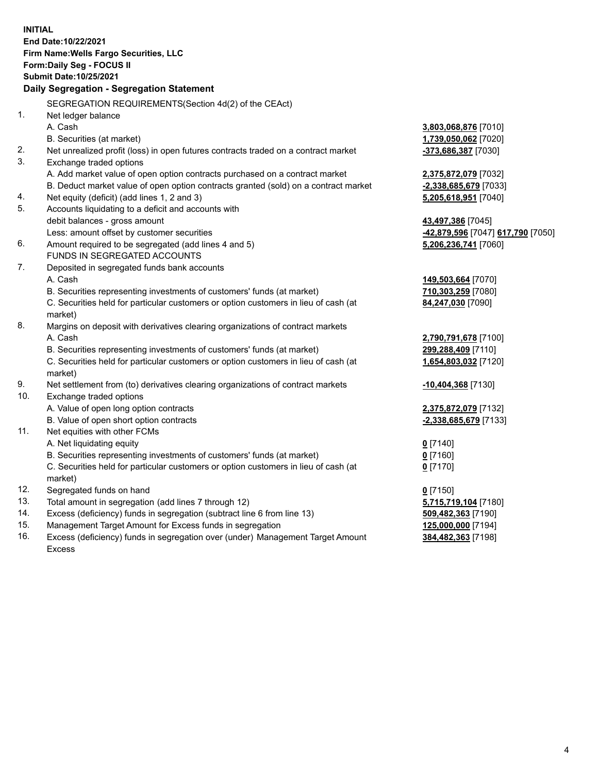**INITIAL End Date:10/22/2021 Firm Name:Wells Fargo Securities, LLC Form:Daily Seg - FOCUS II Submit Date:10/25/2021 Daily Segregation - Segregation Statement** SEGREGATION REQUIREMENTS(Section 4d(2) of the CEAct) 1. Net ledger balance A. Cash **3,803,068,876** [7010] B. Securities (at market) **1,739,050,062** [7020] 2. Net unrealized profit (loss) in open futures contracts traded on a contract market **-373,686,387** [7030] 3. Exchange traded options A. Add market value of open option contracts purchased on a contract market **2,375,872,079** [7032] B. Deduct market value of open option contracts granted (sold) on a contract market **-2,338,685,679** [7033] 4. Net equity (deficit) (add lines 1, 2 and 3) **5,205,618,951** [7040] 5. Accounts liquidating to a deficit and accounts with debit balances - gross amount **43,497,386** [7045] Less: amount offset by customer securities **-42,879,596** [7047] **617,790** [7050] 6. Amount required to be segregated (add lines 4 and 5) **5,206,236,741** [7060] FUNDS IN SEGREGATED ACCOUNTS 7. Deposited in segregated funds bank accounts A. Cash **149,503,664** [7070] B. Securities representing investments of customers' funds (at market) **710,303,259** [7080] C. Securities held for particular customers or option customers in lieu of cash (at market) **84,247,030** [7090] 8. Margins on deposit with derivatives clearing organizations of contract markets A. Cash **2,790,791,678** [7100] B. Securities representing investments of customers' funds (at market) **299,288,409** [7110] C. Securities held for particular customers or option customers in lieu of cash (at market) **1,654,803,032** [7120] 9. Net settlement from (to) derivatives clearing organizations of contract markets **-10,404,368** [7130] 10. Exchange traded options A. Value of open long option contracts **2,375,872,079** [7132] B. Value of open short option contracts **-2,338,685,679** [7133] 11. Net equities with other FCMs A. Net liquidating equity **0** [7140] B. Securities representing investments of customers' funds (at market) **0** [7160] C. Securities held for particular customers or option customers in lieu of cash (at market) **0** [7170] 12. Segregated funds on hand **0** [7150] 13. Total amount in segregation (add lines 7 through 12) **5,715,719,104** [7180]

- 14. Excess (deficiency) funds in segregation (subtract line 6 from line 13) **509,482,363** [7190]
- 15. Management Target Amount for Excess funds in segregation **125,000,000** [7194]
- 16. Excess (deficiency) funds in segregation over (under) Management Target Amount Excess

**384,482,363** [7198]